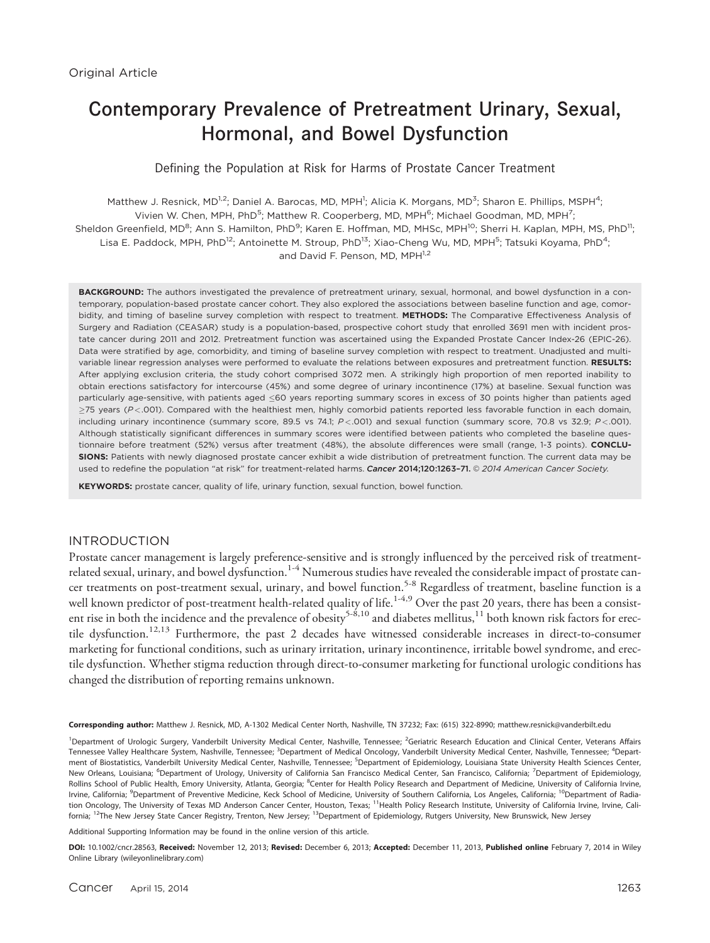# Contemporary Prevalence of Pretreatment Urinary, Sexual, Hormonal, and Bowel Dysfunction

Defining the Population at Risk for Harms of Prostate Cancer Treatment

Matthew J. Resnick, MD<sup>1,2</sup>; Daniel A. Barocas, MD, MPH<sup>1</sup>; Alicia K. Morgans, MD<sup>3</sup>; Sharon E. Phillips, MSPH<sup>4</sup>; Vivien W. Chen, MPH, PhD<sup>5</sup>; Matthew R. Cooperberg, MD, MPH<sup>6</sup>; Michael Goodman, MD, MPH<sup>7</sup>; Sheldon Greenfield, MD<sup>8</sup>; Ann S. Hamilton, PhD<sup>9</sup>; Karen E. Hoffman, MD, MHSc, MPH<sup>10</sup>; Sherri H. Kaplan, MPH, MS, PhD<sup>11</sup>; Lisa E. Paddock, MPH, PhD<sup>12</sup>; Antoinette M. Stroup, PhD<sup>13</sup>; Xiao-Cheng Wu, MD, MPH<sup>5</sup>; Tatsuki Koyama, PhD<sup>4</sup>; and David F. Penson, MD, MPH<sup>1,2</sup>

BACKGROUND: The authors investigated the prevalence of pretreatment urinary, sexual, hormonal, and bowel dysfunction in a contemporary, population-based prostate cancer cohort. They also explored the associations between baseline function and age, comorbidity, and timing of baseline survey completion with respect to treatment. METHODS: The Comparative Effectiveness Analysis of Surgery and Radiation (CEASAR) study is a population-based, prospective cohort study that enrolled 3691 men with incident prostate cancer during 2011 and 2012. Pretreatment function was ascertained using the Expanded Prostate Cancer Index-26 (EPIC-26). Data were stratified by age, comorbidity, and timing of baseline survey completion with respect to treatment. Unadjusted and multivariable linear regression analyses were performed to evaluate the relations between exposures and pretreatment function. RESULTS: After applying exclusion criteria, the study cohort comprised 3072 men. A strikingly high proportion of men reported inability to obtain erections satisfactory for intercourse (45%) and some degree of urinary incontinence (17%) at baseline. Sexual function was particularly age-sensitive, with patients aged  $\leq$ 60 years reporting summary scores in excess of 30 points higher than patients aged  $\geq$ 75 years (P <.001). Compared with the healthiest men, highly comorbid patients reported less favorable function in each domain, including urinary incontinence (summary score, 89.5 vs 74.1;  $P < .001$ ) and sexual function (summary score, 70.8 vs 32.9;  $P < .001$ ). Although statistically significant differences in summary scores were identified between patients who completed the baseline questionnaire before treatment (52%) versus after treatment (48%), the absolute differences were small (range, 1-3 points). CONCLU-SIONS: Patients with newly diagnosed prostate cancer exhibit a wide distribution of pretreatment function. The current data may be used to redefine the population "at risk" for treatment-related harms. Cancer 2014;120:1263-71. © 2014 American Cancer Society.

KEYWORDS: prostate cancer, quality of life, urinary function, sexual function, bowel function.

## INTRODUCTION

Prostate cancer management is largely preference-sensitive and is strongly influenced by the perceived risk of treatmentrelated sexual, urinary, and bowel dysfunction.<sup>1-4</sup> Numerous studies have revealed the considerable impact of prostate cancer treatments on post-treatment sexual, urinary, and bowel function.<sup>5-8</sup> Regardless of treatment, baseline function is a well known predictor of post-treatment health-related quality of life.<sup>1-4,9</sup> Over the past 20 years, there has been a consistent rise in both the incidence and the prevalence of obesity<sup>5-8,10</sup> and diabetes mellitus,<sup>11</sup> both known risk factors for erectile dysfunction.<sup>12,13</sup> Furthermore, the past 2 decades have witnessed considerable increases in direct-to-consumer marketing for functional conditions, such as urinary irritation, urinary incontinence, irritable bowel syndrome, and erectile dysfunction. Whether stigma reduction through direct-to-consumer marketing for functional urologic conditions has changed the distribution of reporting remains unknown.

Corresponding author: Matthew J. Resnick, MD, A-1302 Medical Center North, Nashville, TN 37232; Fax: (615) 322-8990; matthew.resnick@vanderbilt.edu

<sup>1</sup>Department of Urologic Surgery, Vanderbilt University Medical Center, Nashville, Tennessee; <sup>2</sup>Geriatric Research Education and Clinical Center, Veterans Affairs Tennessee Valley Healthcare System, Nashville, Tennessee; <sup>3</sup>Department of Medical Oncology, Vanderbilt University Medical Center, Nashville, Tennessee; <sup>4</sup>Department of Biostatistics, Vanderbilt University Medical Center, Nashville, Tennessee; <sup>5</sup>Department of Epidemiology, Louisiana State University Health Sciences Center, New Orleans, Louisiana; <sup>6</sup>Department of Urology, University of California San Francisco Medical Center, San Francisco, California; <sup>7</sup>Department of Epidemiology, Rollins School of Public Health, Emory University, Atlanta, Georgia; <sup>8</sup>Center for Health Policy Research and Department of Medicine, University of California Irvine, Irvine, California; <sup>9</sup>Department of Preventive Medicine, Keck School of Medicine, University of Southern California, Los Angeles, California; <sup>10</sup>Department of Radiation Oncology, The University of Texas MD Anderson Cancer Center, Houston, Texas; <sup>11</sup>Health Policy Research Institute, University of California Irvine, Irvine, California; <sup>12</sup>The New Jersey State Cancer Registry, Trenton, New Jersey; <sup>13</sup>Department of Epidemiology, Rutgers University, New Brunswick, New Jersey

Additional Supporting Information may be found in the online version of this article.

DOI: 10.1002/cncr.28563, Received: November 12, 2013; Revised: December 6, 2013; Accepted: December 11, 2013, Published online February 7, 2014 in Wiley Online Library (wileyonlinelibrary.com)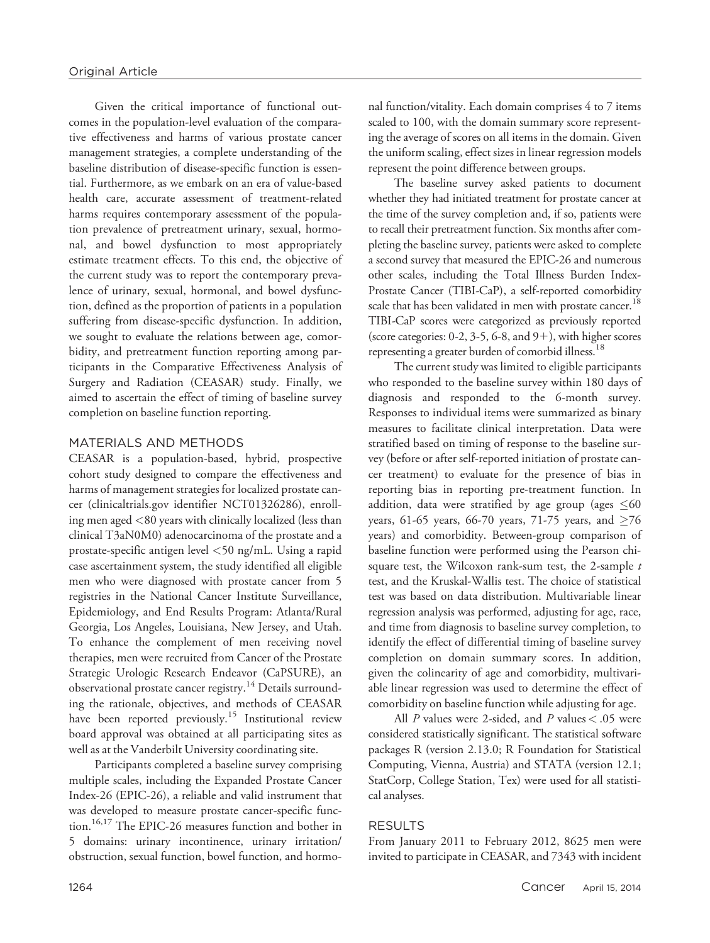Given the critical importance of functional outcomes in the population-level evaluation of the comparative effectiveness and harms of various prostate cancer management strategies, a complete understanding of the baseline distribution of disease-specific function is essential. Furthermore, as we embark on an era of value-based health care, accurate assessment of treatment-related harms requires contemporary assessment of the population prevalence of pretreatment urinary, sexual, hormonal, and bowel dysfunction to most appropriately estimate treatment effects. To this end, the objective of the current study was to report the contemporary prevalence of urinary, sexual, hormonal, and bowel dysfunction, defined as the proportion of patients in a population suffering from disease-specific dysfunction. In addition, we sought to evaluate the relations between age, comorbidity, and pretreatment function reporting among participants in the Comparative Effectiveness Analysis of Surgery and Radiation (CEASAR) study. Finally, we aimed to ascertain the effect of timing of baseline survey completion on baseline function reporting.

## MATERIALS AND METHODS

CEASAR is a population-based, hybrid, prospective cohort study designed to compare the effectiveness and harms of management strategies for localized prostate cancer (clinicaltrials.gov identifier NCT01326286), enrolling men aged <80 years with clinically localized (less than clinical T3aN0M0) adenocarcinoma of the prostate and a prostate-specific antigen level <50 ng/mL. Using a rapid case ascertainment system, the study identified all eligible men who were diagnosed with prostate cancer from 5 registries in the National Cancer Institute Surveillance, Epidemiology, and End Results Program: Atlanta/Rural Georgia, Los Angeles, Louisiana, New Jersey, and Utah. To enhance the complement of men receiving novel therapies, men were recruited from Cancer of the Prostate Strategic Urologic Research Endeavor (CaPSURE), an observational prostate cancer registry.<sup>14</sup> Details surrounding the rationale, objectives, and methods of CEASAR have been reported previously.<sup>15</sup> Institutional review board approval was obtained at all participating sites as well as at the Vanderbilt University coordinating site.

Participants completed a baseline survey comprising multiple scales, including the Expanded Prostate Cancer Index-26 (EPIC-26), a reliable and valid instrument that was developed to measure prostate cancer-specific function.16,17 The EPIC-26 measures function and bother in 5 domains: urinary incontinence, urinary irritation/ obstruction, sexual function, bowel function, and hormonal function/vitality. Each domain comprises 4 to 7 items scaled to 100, with the domain summary score representing the average of scores on all items in the domain. Given the uniform scaling, effect sizes in linear regression models represent the point difference between groups.

The baseline survey asked patients to document whether they had initiated treatment for prostate cancer at the time of the survey completion and, if so, patients were to recall their pretreatment function. Six months after completing the baseline survey, patients were asked to complete a second survey that measured the EPIC-26 and numerous other scales, including the Total Illness Burden Index-Prostate Cancer (TIBI-CaP), a self-reported comorbidity scale that has been validated in men with prostate cancer.<sup>18</sup> TIBI-CaP scores were categorized as previously reported (score categories:  $0-2$ ,  $3-5$ ,  $6-8$ , and  $9+$ ), with higher scores representing a greater burden of comorbid illness.  $^{18}$ 

The current study was limited to eligible participants who responded to the baseline survey within 180 days of diagnosis and responded to the 6-month survey. Responses to individual items were summarized as binary measures to facilitate clinical interpretation. Data were stratified based on timing of response to the baseline survey (before or after self-reported initiation of prostate cancer treatment) to evaluate for the presence of bias in reporting bias in reporting pre-treatment function. In addition, data were stratified by age group (ages  ${\leq}60$ years, 61-65 years, 66-70 years, 71-75 years, and  $\geq$ 76 years) and comorbidity. Between-group comparison of baseline function were performed using the Pearson chisquare test, the Wilcoxon rank-sum test, the 2-sample  $t$ test, and the Kruskal-Wallis test. The choice of statistical test was based on data distribution. Multivariable linear regression analysis was performed, adjusting for age, race, and time from diagnosis to baseline survey completion, to identify the effect of differential timing of baseline survey completion on domain summary scores. In addition, given the colinearity of age and comorbidity, multivariable linear regression was used to determine the effect of comorbidity on baseline function while adjusting for age.

All  $P$  values were 2-sided, and  $P$  values  $<$  .05 were considered statistically significant. The statistical software packages R (version 2.13.0; R Foundation for Statistical Computing, Vienna, Austria) and STATA (version 12.1; StatCorp, College Station, Tex) were used for all statistical analyses.

# RESULTS

From January 2011 to February 2012, 8625 men were invited to participate in CEASAR, and 7343 with incident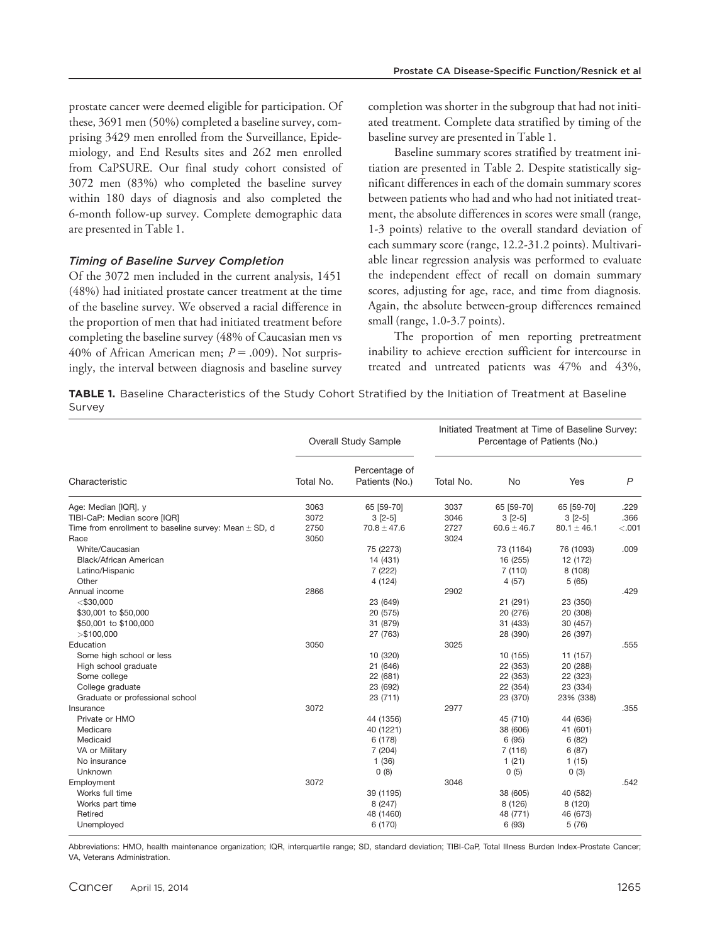prostate cancer were deemed eligible for participation. Of these, 3691 men (50%) completed a baseline survey, comprising 3429 men enrolled from the Surveillance, Epidemiology, and End Results sites and 262 men enrolled from CaPSURE. Our final study cohort consisted of 3072 men (83%) who completed the baseline survey within 180 days of diagnosis and also completed the 6-month follow-up survey. Complete demographic data are presented in Table 1.

#### Timing of Baseline Survey Completion

Of the 3072 men included in the current analysis, 1451 (48%) had initiated prostate cancer treatment at the time of the baseline survey. We observed a racial difference in the proportion of men that had initiated treatment before completing the baseline survey (48% of Caucasian men vs 40% of African American men;  $P = .009$ ). Not surprisingly, the interval between diagnosis and baseline survey completion was shorter in the subgroup that had not initiated treatment. Complete data stratified by timing of the baseline survey are presented in Table 1.

Baseline summary scores stratified by treatment initiation are presented in Table 2. Despite statistically significant differences in each of the domain summary scores between patients who had and who had not initiated treatment, the absolute differences in scores were small (range, 1-3 points) relative to the overall standard deviation of each summary score (range, 12.2-31.2 points). Multivariable linear regression analysis was performed to evaluate the independent effect of recall on domain summary scores, adjusting for age, race, and time from diagnosis. Again, the absolute between-group differences remained small (range, 1.0-3.7 points).

The proportion of men reporting pretreatment inability to achieve erection sufficient for intercourse in treated and untreated patients was 47% and 43%,

TABLE 1. Baseline Characteristics of the Study Cohort Stratified by the Initiation of Treatment at Baseline Survey

|                                                           | <b>Overall Study Sample</b> |                                 | Initiated Treatment at Time of Baseline Survey:<br>Percentage of Patients (No.) |                 |                 |                |
|-----------------------------------------------------------|-----------------------------|---------------------------------|---------------------------------------------------------------------------------|-----------------|-----------------|----------------|
| Characteristic                                            | Total No.                   | Percentage of<br>Patients (No.) | Total No.                                                                       | No              | Yes             | $\overline{P}$ |
| Age: Median [IQR], y                                      | 3063                        | 65 [59-70]                      | 3037                                                                            | 65 [59-70]      | 65 [59-70]      | .229           |
| TIBI-CaP: Median score [IQR]                              | 3072                        | $3 [2-5]$                       | 3046                                                                            | $3 [2-5]$       | $3 [2-5]$       | .366           |
| Time from enrollment to baseline survey: Mean $\pm$ SD, d | 2750                        | $70.8 \pm 47.6$                 | 2727                                                                            | $60.6 \pm 46.7$ | $80.1 \pm 46.1$ | < .001         |
| Race                                                      | 3050                        |                                 | 3024                                                                            |                 |                 |                |
| White/Caucasian                                           |                             | 75 (2273)                       |                                                                                 | 73 (1164)       | 76 (1093)       | .009           |
| Black/African American                                    |                             | 14 (431)                        |                                                                                 | 16 (255)        | 12 (172)        |                |
| Latino/Hispanic                                           |                             | 7 (222)                         |                                                                                 | 7(110)          | 8 (108)         |                |
| Other                                                     |                             | 4 (124)                         |                                                                                 | 4(57)           | 5(65)           |                |
| Annual income                                             | 2866                        |                                 | 2902                                                                            |                 |                 | .429           |
| $<$ \$30,000                                              |                             | 23 (649)                        |                                                                                 | 21 (291)        | 23 (350)        |                |
| \$30,001 to \$50,000                                      |                             | 20 (575)                        |                                                                                 | 20 (276)        | 20 (308)        |                |
| \$50,001 to \$100,000                                     |                             | 31 (879)                        |                                                                                 | 31 (433)        | 30 (457)        |                |
| $>$ \$100,000                                             |                             | 27 (763)                        |                                                                                 | 28 (390)        | 26 (397)        |                |
| Education                                                 | 3050                        |                                 | 3025                                                                            |                 |                 | .555           |
| Some high school or less                                  |                             | 10 (320)                        |                                                                                 | 10 (155)        | 11 (157)        |                |
| High school graduate                                      |                             | 21 (646)                        |                                                                                 | 22 (353)        | 20 (288)        |                |
| Some college                                              |                             | 22 (681)                        |                                                                                 | 22 (353)        | 22 (323)        |                |
| College graduate                                          |                             | 23 (692)                        |                                                                                 | 22 (354)        | 23 (334)        |                |
| Graduate or professional school                           |                             | 23 (711)                        |                                                                                 | 23 (370)        | 23% (338)       |                |
| Insurance                                                 | 3072                        |                                 | 2977                                                                            |                 |                 | .355           |
| Private or HMO                                            |                             | 44 (1356)                       |                                                                                 | 45 (710)        | 44 (636)        |                |
| Medicare                                                  |                             | 40 (1221)                       |                                                                                 | 38 (606)        | 41 (601)        |                |
| Medicaid                                                  |                             | 6 (178)                         |                                                                                 | 6(95)           | 6(82)           |                |
| VA or Military                                            |                             | 7 (204)                         |                                                                                 | 7(116)          | 6(87)           |                |
| No insurance                                              |                             | 1(36)                           |                                                                                 | 1(21)           | 1(15)           |                |
| Unknown                                                   |                             | 0(8)                            |                                                                                 | 0(5)            | 0(3)            |                |
| Employment                                                | 3072                        |                                 | 3046                                                                            |                 |                 | .542           |
| Works full time                                           |                             | 39 (1195)                       |                                                                                 | 38 (605)        | 40 (582)        |                |
| Works part time                                           |                             | 8 (247)                         |                                                                                 | 8 (126)         | 8 (120)         |                |
| Retired                                                   |                             | 48 (1460)                       |                                                                                 | 48 (771)        | 46 (673)        |                |
| Unemployed                                                |                             | 6 (170)                         |                                                                                 | 6 (93)          | 5(76)           |                |

Abbreviations: HMO, health maintenance organization; IQR, interquartile range; SD, standard deviation; TIBI-CaP, Total Illness Burden Index-Prostate Cancer; VA, Veterans Administration.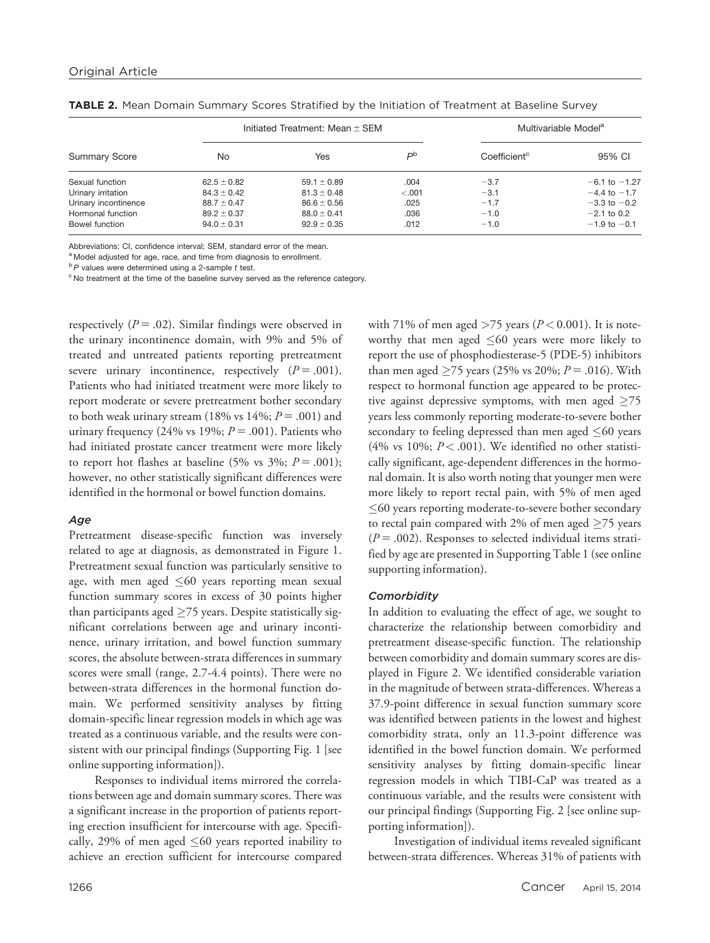| <b>Summary Score</b> | Initiated Treatment: Mean $\pm$ SEM |                 |         | Multivariable Model <sup>a</sup> |                   |  |
|----------------------|-------------------------------------|-----------------|---------|----------------------------------|-------------------|--|
|                      | No                                  | Yes             | Pp      | Coefficient <sup>c</sup>         | 95% CI            |  |
| Sexual function      | $62.5 \pm 0.82$                     | $59.1 \pm 0.89$ | .004    | $-3.7$                           | $-6.1$ to $-1.27$ |  |
| Urinary irritation   | $84.3 \pm 0.42$                     | $81.3 \pm 0.48$ | $-.001$ | $-3.1$                           | $-4.4$ to $-1.7$  |  |
| Urinary incontinence | $88.7 \pm 0.47$                     | $86.6 \pm 0.56$ | .025    | $-1.7$                           | $-3.3$ to $-0.2$  |  |
| Hormonal function    | $89.2 \pm 0.37$                     | $88.0 \pm 0.41$ | .036    | $-1.0$                           | $-2.1$ to 0.2     |  |
| Bowel function       | $94.0 \pm 0.31$                     | $92.9 \pm 0.35$ | .012    | $-1.0$                           | $-1.9$ to $-0.1$  |  |

TABLE 2. Mean Domain Summary Scores Stratified by the Initiation of Treatment at Baseline Survey

Abbreviations: CI, confidence interval; SEM, standard error of the mean.

a Model adjusted for age, race, and time from diagnosis to enrollment.

 $b$ P values were determined using a 2-sample  $t$  test.

<sup>c</sup> No treatment at the time of the baseline survey served as the reference category.

respectively ( $P = .02$ ). Similar findings were observed in the urinary incontinence domain, with 9% and 5% of treated and untreated patients reporting pretreatment severe urinary incontinence, respectively  $(P = .001)$ . Patients who had initiated treatment were more likely to report moderate or severe pretreatment bother secondary to both weak urinary stream (18% vs  $14\%$ ;  $P = .001$ ) and urinary frequency (24% vs 19%;  $P = .001$ ). Patients who had initiated prostate cancer treatment were more likely to report hot flashes at baseline (5% vs 3%;  $P = .001$ ); however, no other statistically significant differences were identified in the hormonal or bowel function domains.

#### Age

Pretreatment disease-specific function was inversely related to age at diagnosis, as demonstrated in Figure 1. Pretreatment sexual function was particularly sensitive to age, with men aged  $\leq$ 60 years reporting mean sexual function summary scores in excess of 30 points higher than participants aged  $\geq$ 75 years. Despite statistically significant correlations between age and urinary incontinence, urinary irritation, and bowel function summary scores, the absolute between-strata differences in summary scores were small (range, 2.7-4.4 points). There were no between-strata differences in the hormonal function domain. We performed sensitivity analyses by fitting domain-specific linear regression models in which age was treated as a continuous variable, and the results were consistent with our principal findings (Supporting Fig. 1 [see online supporting information]).

Responses to individual items mirrored the correlations between age and domain summary scores. There was a significant increase in the proportion of patients reporting erection insufficient for intercourse with age. Specifically, 29% of men aged  $\leq 60$  years reported inability to achieve an erection sufficient for intercourse compared with 71% of men aged >75 years ( $P < 0.001$ ). It is noteworthy that men aged  $\leq\!\!60$  years were more likely to report the use of phosphodiesterase-5 (PDE-5) inhibitors than men aged  $\geq$ 75 years (25% vs 20%;  $P = .016$ ). With respect to hormonal function age appeared to be protective against depressive symptoms, with men aged  $\geq$ 75 years less commonly reporting moderate-to-severe bother secondary to feeling depressed than men aged  $\leq$ 60 years (4% vs 10%;  $P < .001$ ). We identified no other statistically significant, age-dependent differences in the hormonal domain. It is also worth noting that younger men were more likely to report rectal pain, with 5% of men aged  $\leq$ 60 years reporting moderate-to-severe bother secondary to rectal pain compared with 2% of men aged  $\geq$ 75 years  $(P = .002)$ . Responses to selected individual items stratified by age are presented in Supporting Table 1 (see online supporting information).

#### **Comorbidity**

In addition to evaluating the effect of age, we sought to characterize the relationship between comorbidity and pretreatment disease-specific function. The relationship between comorbidity and domain summary scores are displayed in Figure 2. We identified considerable variation in the magnitude of between strata-differences. Whereas a 37.9-point difference in sexual function summary score was identified between patients in the lowest and highest comorbidity strata, only an 11.3-point difference was identified in the bowel function domain. We performed sensitivity analyses by fitting domain-specific linear regression models in which TIBI-CaP was treated as a continuous variable, and the results were consistent with our principal findings (Supporting Fig. 2 [see online supporting information]).

Investigation of individual items revealed significant between-strata differences. Whereas 31% of patients with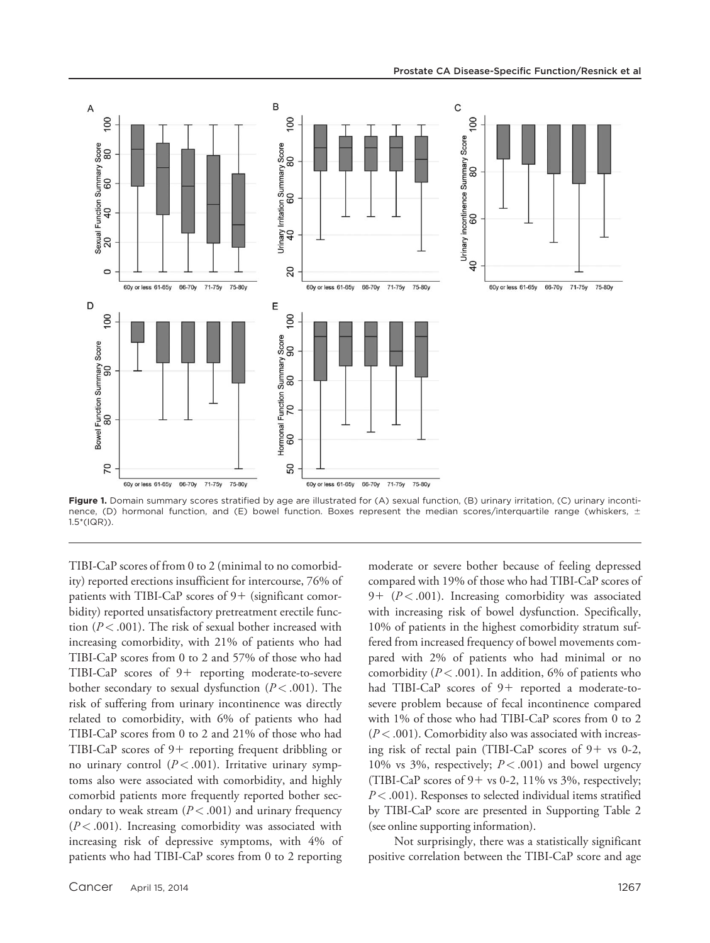

Figure 1. Domain summary scores stratified by age are illustrated for (A) sexual function, (B) urinary irritation, (C) urinary incontinence, (D) hormonal function, and (E) bowel function. Boxes represent the median scores/interquartile range (whiskers,  $\pm$ 1.5\*(IQR)).

TIBI-CaP scores of from 0 to 2 (minimal to no comorbidity) reported erections insufficient for intercourse, 76% of patients with TIBI-CaP scores of  $9+$  (significant comorbidity) reported unsatisfactory pretreatment erectile function ( $P < .001$ ). The risk of sexual bother increased with increasing comorbidity, with 21% of patients who had TIBI-CaP scores from 0 to 2 and 57% of those who had TIBI-CaP scores of  $9+$  reporting moderate-to-severe bother secondary to sexual dysfunction ( $P < .001$ ). The risk of suffering from urinary incontinence was directly related to comorbidity, with 6% of patients who had TIBI-CaP scores from 0 to 2 and 21% of those who had TIBI-CaP scores of  $9+$  reporting frequent dribbling or no urinary control  $(P < .001)$ . Irritative urinary symptoms also were associated with comorbidity, and highly comorbid patients more frequently reported bother secondary to weak stream  $(P < .001)$  and urinary frequency  $(P < .001)$ . Increasing comorbidity was associated with increasing risk of depressive symptoms, with 4% of patients who had TIBI-CaP scores from 0 to 2 reporting moderate or severe bother because of feeling depressed compared with 19% of those who had TIBI-CaP scores of 9+  $(P < .001)$ . Increasing comorbidity was associated with increasing risk of bowel dysfunction. Specifically, 10% of patients in the highest comorbidity stratum suffered from increased frequency of bowel movements compared with 2% of patients who had minimal or no comorbidity ( $P < .001$ ). In addition, 6% of patients who had TIBI-CaP scores of 9+ reported a moderate-tosevere problem because of fecal incontinence compared with 1% of those who had TIBI-CaP scores from 0 to 2  $(P<.001)$ . Comorbidity also was associated with increasing risk of rectal pain (TIBI-CaP scores of  $9+$  vs 0-2, 10% vs 3%, respectively;  $P < .001$ ) and bowel urgency (TIBI-CaP scores of  $9+$  vs 0-2, 11% vs 3%, respectively;  $P < .001$ ). Responses to selected individual items stratified by TIBI-CaP score are presented in Supporting Table 2 (see online supporting information).

Not surprisingly, there was a statistically significant positive correlation between the TIBI-CaP score and age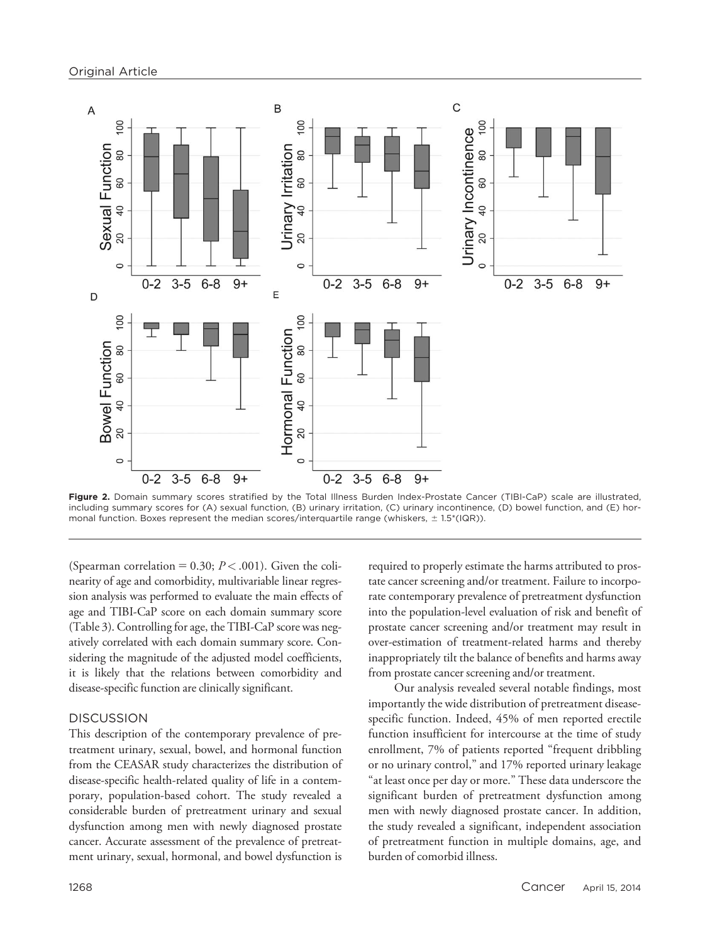

Figure 2. Domain summary scores stratified by the Total Illness Burden Index-Prostate Cancer (TIBI-CaP) scale are illustrated, including summary scores for (A) sexual function, (B) urinary irritation, (C) urinary incontinence, (D) bowel function, and (E) hormonal function. Boxes represent the median scores/interquartile range (whiskers,  $\pm$  1.5\*(IQR)).

(Spearman correlation = 0.30;  $P < .001$ ). Given the colinearity of age and comorbidity, multivariable linear regression analysis was performed to evaluate the main effects of age and TIBI-CaP score on each domain summary score (Table 3). Controlling for age, the TIBI-CaP score was negatively correlated with each domain summary score. Considering the magnitude of the adjusted model coefficients, it is likely that the relations between comorbidity and disease-specific function are clinically significant.

# **DISCUSSION**

This description of the contemporary prevalence of pretreatment urinary, sexual, bowel, and hormonal function from the CEASAR study characterizes the distribution of disease-specific health-related quality of life in a contemporary, population-based cohort. The study revealed a considerable burden of pretreatment urinary and sexual dysfunction among men with newly diagnosed prostate cancer. Accurate assessment of the prevalence of pretreatment urinary, sexual, hormonal, and bowel dysfunction is required to properly estimate the harms attributed to prostate cancer screening and/or treatment. Failure to incorporate contemporary prevalence of pretreatment dysfunction into the population-level evaluation of risk and benefit of prostate cancer screening and/or treatment may result in over-estimation of treatment-related harms and thereby inappropriately tilt the balance of benefits and harms away from prostate cancer screening and/or treatment.

Our analysis revealed several notable findings, most importantly the wide distribution of pretreatment diseasespecific function. Indeed, 45% of men reported erectile function insufficient for intercourse at the time of study enrollment, 7% of patients reported "frequent dribbling or no urinary control," and 17% reported urinary leakage "at least once per day or more." These data underscore the significant burden of pretreatment dysfunction among men with newly diagnosed prostate cancer. In addition, the study revealed a significant, independent association of pretreatment function in multiple domains, age, and burden of comorbid illness.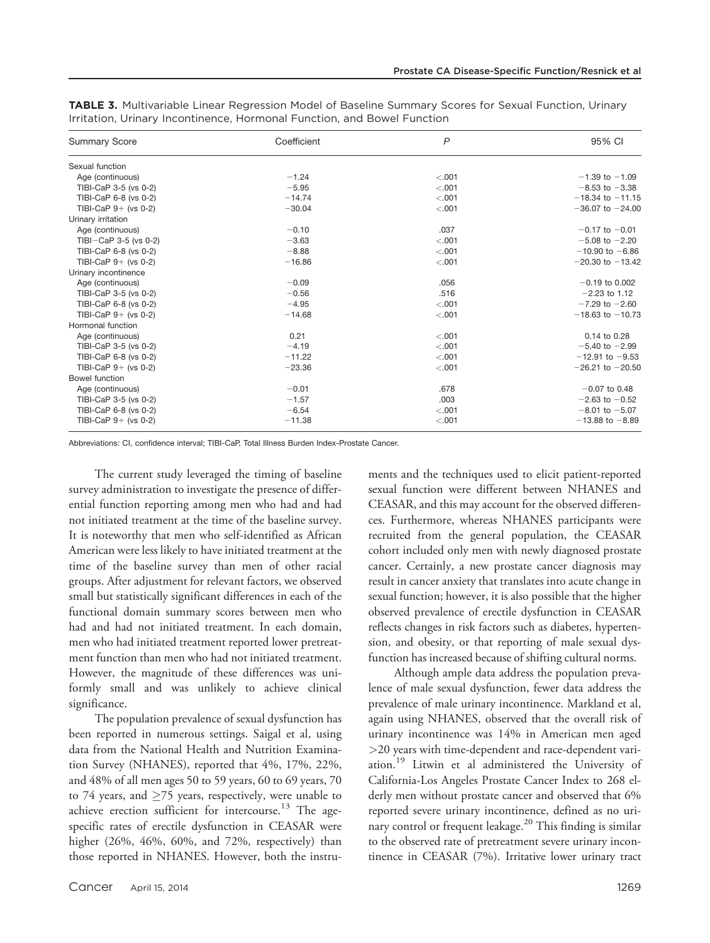| <b>Summary Score</b>   | Coefficient | $\overline{P}$ | 95% CI               |
|------------------------|-------------|----------------|----------------------|
| Sexual function        |             |                |                      |
| Age (continuous)       | $-1.24$     | < .001         | $-1.39$ to $-1.09$   |
| TIBI-CaP 3-5 (vs 0-2)  | $-5.95$     | < .001         | $-8.53$ to $-3.38$   |
| TIBI-CaP 6-8 (vs 0-2)  | $-14.74$    | $-.001$        | $-18.34$ to $-11.15$ |
| TIBI-CaP $9+$ (vs 0-2) | $-30.04$    | < .001         | $-36.07$ to $-24.00$ |
| Urinary irritation     |             |                |                      |
| Age (continuous)       | $-0.10$     | .037           | $-0.17$ to $-0.01$   |
| TIBI-CaP 3-5 (vs 0-2)  | $-3.63$     | < .001         | $-5.08$ to $-2.20$   |
| TIBI-CaP 6-8 (vs 0-2)  | $-8.88$     | < .001         | $-10.90$ to $-6.86$  |
| TIBI-CaP $9+$ (vs 0-2) | $-16.86$    | < .001         | $-20.30$ to $-13.42$ |
| Urinary incontinence   |             |                |                      |
| Age (continuous)       | $-0.09$     | .056           | $-0.19$ to 0.002     |
| TIBI-CaP 3-5 (vs 0-2)  | $-0.56$     | .516           | $-2.23$ to 1.12      |
| TIBI-CaP 6-8 (vs 0-2)  | $-4.95$     | < .001         | $-7.29$ to $-2.60$   |
| TIBI-CaP $9+$ (vs 0-2) | $-14.68$    | $-.001$        | $-18.63$ to $-10.73$ |
| Hormonal function      |             |                |                      |
| Age (continuous)       | 0.21        | $-.001$        | 0.14 to 0.28         |
| TIBI-CaP 3-5 (vs 0-2)  | $-4.19$     | < .001         | $-5.40$ to $-2.99$   |
| TIBI-CaP 6-8 (vs 0-2)  | $-11.22$    | < .001         | $-12.91$ to $-9.53$  |
| TIBI-CaP $9+$ (vs 0-2) | $-23.36$    | < .001         | $-26.21$ to $-20.50$ |
| <b>Bowel function</b>  |             |                |                      |
| Age (continuous)       | $-0.01$     | .678           | $-0.07$ to 0.48      |
| TIBI-CaP 3-5 (vs 0-2)  | $-1.57$     | .003           | $-2.63$ to $-0.52$   |
| TIBI-CaP 6-8 (vs 0-2)  | $-6.54$     | < .001         | $-8.01$ to $-5.07$   |
| TIBI-CaP $9+$ (vs 0-2) | $-11.38$    | $-.001$        | $-13.88$ to $-8.89$  |

TABLE 3. Multivariable Linear Regression Model of Baseline Summary Scores for Sexual Function, Urinary Irritation, Urinary Incontinence, Hormonal Function, and Bowel Function

Abbreviations: CI, confidence interval; TIBI-CaP, Total Illness Burden Index-Prostate Cancer.

The current study leveraged the timing of baseline survey administration to investigate the presence of differential function reporting among men who had and had not initiated treatment at the time of the baseline survey. It is noteworthy that men who self-identified as African American were less likely to have initiated treatment at the time of the baseline survey than men of other racial groups. After adjustment for relevant factors, we observed small but statistically significant differences in each of the functional domain summary scores between men who had and had not initiated treatment. In each domain, men who had initiated treatment reported lower pretreatment function than men who had not initiated treatment. However, the magnitude of these differences was uniformly small and was unlikely to achieve clinical significance.

The population prevalence of sexual dysfunction has been reported in numerous settings. Saigal et al, using data from the National Health and Nutrition Examination Survey (NHANES), reported that 4%, 17%, 22%, and 48% of all men ages 50 to 59 years, 60 to 69 years, 70 to 74 years, and  $\geq$ 75 years, respectively, were unable to achieve erection sufficient for intercourse.<sup>13</sup> The agespecific rates of erectile dysfunction in CEASAR were higher (26%, 46%, 60%, and 72%, respectively) than those reported in NHANES. However, both the instruments and the techniques used to elicit patient-reported sexual function were different between NHANES and CEASAR, and this may account for the observed differences. Furthermore, whereas NHANES participants were recruited from the general population, the CEASAR cohort included only men with newly diagnosed prostate cancer. Certainly, a new prostate cancer diagnosis may result in cancer anxiety that translates into acute change in sexual function; however, it is also possible that the higher observed prevalence of erectile dysfunction in CEASAR reflects changes in risk factors such as diabetes, hypertension, and obesity, or that reporting of male sexual dysfunction has increased because of shifting cultural norms.

Although ample data address the population prevalence of male sexual dysfunction, fewer data address the prevalence of male urinary incontinence. Markland et al, again using NHANES, observed that the overall risk of urinary incontinence was 14% in American men aged >20 years with time-dependent and race-dependent variation.<sup>19</sup> Litwin et al administered the University of California-Los Angeles Prostate Cancer Index to 268 elderly men without prostate cancer and observed that 6% reported severe urinary incontinence, defined as no urinary control or frequent leakage.<sup>20</sup> This finding is similar to the observed rate of pretreatment severe urinary incontinence in CEASAR (7%). Irritative lower urinary tract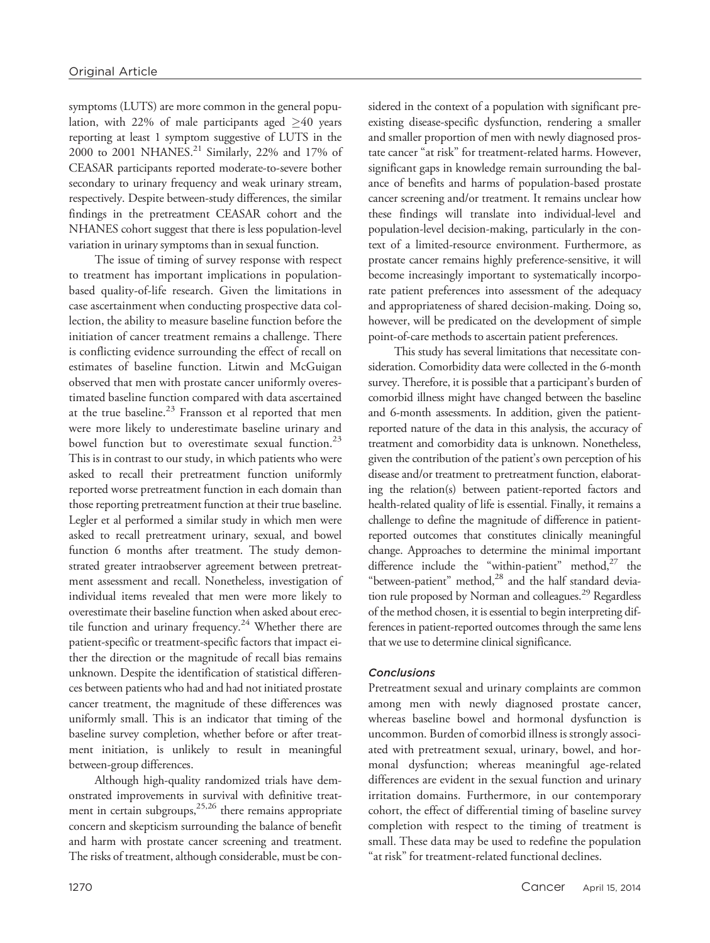symptoms (LUTS) are more common in the general population, with 22% of male participants aged  $\geq 40$  years reporting at least 1 symptom suggestive of LUTS in the 2000 to 2001 NHANES.<sup>21</sup> Similarly, 22% and 17% of CEASAR participants reported moderate-to-severe bother secondary to urinary frequency and weak urinary stream, respectively. Despite between-study differences, the similar findings in the pretreatment CEASAR cohort and the NHANES cohort suggest that there is less population-level variation in urinary symptoms than in sexual function.

The issue of timing of survey response with respect to treatment has important implications in populationbased quality-of-life research. Given the limitations in case ascertainment when conducting prospective data collection, the ability to measure baseline function before the initiation of cancer treatment remains a challenge. There is conflicting evidence surrounding the effect of recall on estimates of baseline function. Litwin and McGuigan observed that men with prostate cancer uniformly overestimated baseline function compared with data ascertained at the true baseline. $^{23}$  Fransson et al reported that men were more likely to underestimate baseline urinary and bowel function but to overestimate sexual function. $^{23}$ This is in contrast to our study, in which patients who were asked to recall their pretreatment function uniformly reported worse pretreatment function in each domain than those reporting pretreatment function at their true baseline. Legler et al performed a similar study in which men were asked to recall pretreatment urinary, sexual, and bowel function 6 months after treatment. The study demonstrated greater intraobserver agreement between pretreatment assessment and recall. Nonetheless, investigation of individual items revealed that men were more likely to overestimate their baseline function when asked about erectile function and urinary frequency.<sup>24</sup> Whether there are patient-specific or treatment-specific factors that impact either the direction or the magnitude of recall bias remains unknown. Despite the identification of statistical differences between patients who had and had not initiated prostate cancer treatment, the magnitude of these differences was uniformly small. This is an indicator that timing of the baseline survey completion, whether before or after treatment initiation, is unlikely to result in meaningful between-group differences.

Although high-quality randomized trials have demonstrated improvements in survival with definitive treatment in certain subgroups,<sup>25,26</sup> there remains appropriate concern and skepticism surrounding the balance of benefit and harm with prostate cancer screening and treatment. The risks of treatment, although considerable, must be considered in the context of a population with significant preexisting disease-specific dysfunction, rendering a smaller and smaller proportion of men with newly diagnosed prostate cancer "at risk" for treatment-related harms. However, significant gaps in knowledge remain surrounding the balance of benefits and harms of population-based prostate cancer screening and/or treatment. It remains unclear how these findings will translate into individual-level and population-level decision-making, particularly in the context of a limited-resource environment. Furthermore, as prostate cancer remains highly preference-sensitive, it will become increasingly important to systematically incorporate patient preferences into assessment of the adequacy and appropriateness of shared decision-making. Doing so, however, will be predicated on the development of simple point-of-care methods to ascertain patient preferences.

This study has several limitations that necessitate consideration. Comorbidity data were collected in the 6-month survey. Therefore, it is possible that a participant's burden of comorbid illness might have changed between the baseline and 6-month assessments. In addition, given the patientreported nature of the data in this analysis, the accuracy of treatment and comorbidity data is unknown. Nonetheless, given the contribution of the patient's own perception of his disease and/or treatment to pretreatment function, elaborating the relation(s) between patient-reported factors and health-related quality of life is essential. Finally, it remains a challenge to define the magnitude of difference in patientreported outcomes that constitutes clinically meaningful change. Approaches to determine the minimal important difference include the "within-patient" method, $27$  the "between-patient" method,<sup>28</sup> and the half standard deviation rule proposed by Norman and colleagues.<sup>29</sup> Regardless of the method chosen, it is essential to begin interpreting differences in patient-reported outcomes through the same lens that we use to determine clinical significance.

## **Conclusions**

Pretreatment sexual and urinary complaints are common among men with newly diagnosed prostate cancer, whereas baseline bowel and hormonal dysfunction is uncommon. Burden of comorbid illness is strongly associated with pretreatment sexual, urinary, bowel, and hormonal dysfunction; whereas meaningful age-related differences are evident in the sexual function and urinary irritation domains. Furthermore, in our contemporary cohort, the effect of differential timing of baseline survey completion with respect to the timing of treatment is small. These data may be used to redefine the population "at risk" for treatment-related functional declines.